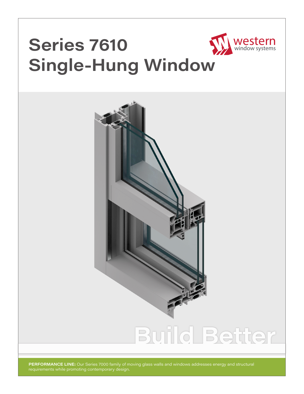# **Series 7610 Single-Hung Window**



Western

**PERFORMANCE LINE:** Our Series 7000 family of moving glass walls and windows addresses energy and structural requirements while promoting contemporary design.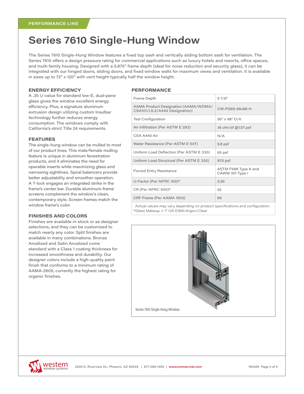### **Series 7610 Single-Hung Window**

The Series 7610 Single-Hung Window features a fixed top sash and vertically sliding bottom sash for ventilation. The Series 7610 offers a design pressure rating for commercial applications such as luxury hotels and resorts, office spaces, and multi-family housing. Designed with a 5.875" frame depth (ideal for noise reduction and security glass), it can be integrated with our hinged doors, sliding doors, and fixed window walls for maximum views and ventilation. It is available in sizes up to  $72'' \times 120''$  with vent height typically half the window height.

#### **ENERGY EFFICIENCY**

A .35 U-value for standard low-E, dual-pane glass gives the window excellent energy efficiency. Plus, a signature aluminum extrusion design utilizing custom Insulbar technology further reduces energy consumption. The windows comply with California's strict Title 24 requirements.

#### **FEATURES**

The single-hung window can be mulled to most of our product lines. This male/female mulling feature is unique in aluminum fenestration products, and it eliminates the need for operable inserts while maximizing glass and narrowing sightlines. Spiral balancers provide better adjustability and smoother operation. A T-lock engages an integrated strike in the frame's center bar. Durable aluminum-frame screens complement the window's clean, contemporary style. Screen frames match the window frame's color.

#### **FINISHES AND COLORS**

Finishes are available in-stock or as designer selections, and they can be customized to match nearly any color. Split finishes are available in many combinations. Bronze Anodized and Satin Anodized come standard with a Class 1 coating thickness for increased smoothness and durability. Our designer colors include a high-quality paint finish that conforms to a minimum rating of AAMA-2605, currently the highest rating for organic finishes.

#### **PERFORMANCE**

| Frame Depth                                                                   | 57/8''                                  |
|-------------------------------------------------------------------------------|-----------------------------------------|
| AAMA Product Designation (AAMA/WDMA/<br>CSA101/I.S.2/A440 Designation)        | CW-PG65-56x98-H                         |
| <b>Test Configuration</b>                                                     | 56" x 98" O/X                           |
| Air Infiltration (Per ASTM E 283)                                             | .16 cfm/sf @1.57 psf                    |
| CSA A440 Air                                                                  | N/A                                     |
| Water Resistance (Per ASTM E 547)                                             | $9.8$ psf                               |
| Uniform Load Deflection (Per ASTM E 330)                                      | 65 psf                                  |
| Uniform Load Structural (Per ASTM E 330)                                      | 97.5 psf                                |
| <b>Forced Entry Resistance</b>                                                | ASTM F588 Type A and<br>CAWM 301 Type I |
| U-Factor (Per NFRC 100)*                                                      | 0.35                                    |
| CR (Per NFRC 500)*                                                            | 52                                      |
| CRF Frame (Per AAMA 1503)                                                     | 66                                      |
| Actual values may vary depending on product specifications and configuration. |                                         |

Actual values may vary depending on product specifications and configuration. \*Glass Makeup = 1" OA E366/Argon/Clear



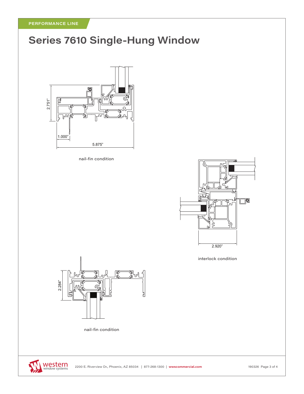# **Series 7610 Single-Hung Window**



nail-fin condition



interlock condition



nail-fin condition